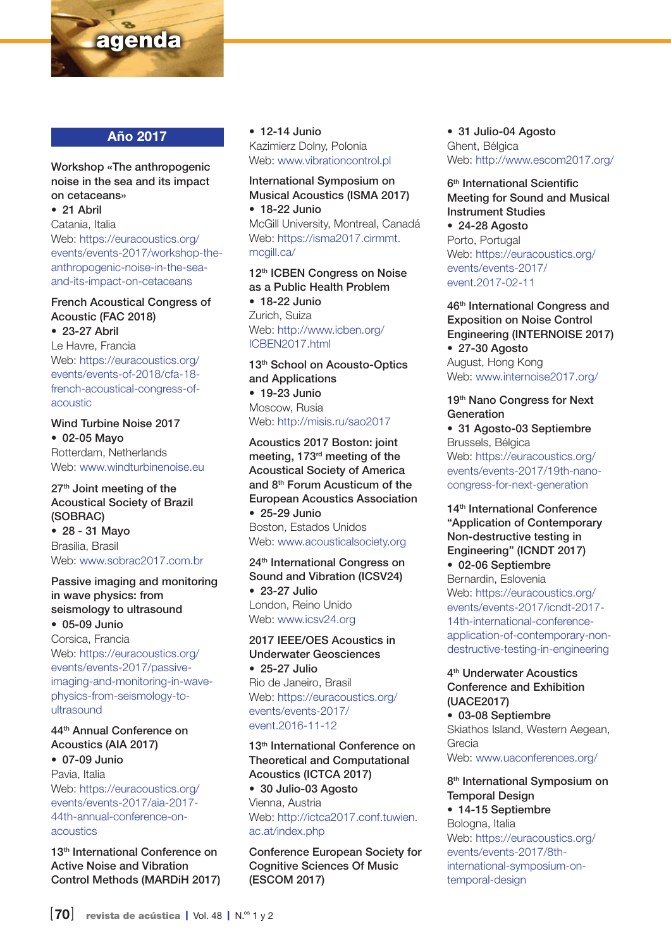

### Año 2017

#### Workshop «The anthropogenic noise in the sea and its impact on cetaceans»

• 21 Abril

Catania, Italia Web: [https://euracoustics.org/](https://euracoustics.org/events/events-2017/workshop-the-anthropogenic-noise-in-the-sea-and-its-impact-on-cetaceans) [events/events-2017/workshop-the](https://euracoustics.org/events/events-2017/workshop-the-anthropogenic-noise-in-the-sea-and-its-impact-on-cetaceans)[anthropogenic-noise-in-the-sea](https://euracoustics.org/events/events-2017/workshop-the-anthropogenic-noise-in-the-sea-and-its-impact-on-cetaceans)[and-its-impact-on-cetaceans](https://euracoustics.org/events/events-2017/workshop-the-anthropogenic-noise-in-the-sea-and-its-impact-on-cetaceans)

## French Acoustical Congress of Acoustic (FAC 2018)

• 23-27 Abril Le Havre, Francia Web: [https://euracoustics.org/](https://euracoustics.org/events/events-of-2018/cfa-18-french-acoustical-congress-of-acoustic) [events/events-of-2018/cfa-18](https://euracoustics.org/events/events-of-2018/cfa-18-french-acoustical-congress-of-acoustic) [french-acoustical-congress-of](https://euracoustics.org/events/events-of-2018/cfa-18-french-acoustical-congress-of-acoustic)[acoustic](https://euracoustics.org/events/events-of-2018/cfa-18-french-acoustical-congress-of-acoustic)

#### Wind Turbine Noise 2017 • 02-05 Mayo Rotterdam, Netherlands Web: [www.windturbinenoise.eu](http://www.windturbinenoise.eu)

27<sup>th</sup> Joint meeting of the Acoustical Society of Brazil (SOBRAC) • 28 - 31 Mayo Brasilia, Brasil Web: [www.sobrac2017.com.br](http://www.sobrac2017.com.br)

#### Passive imaging and monitoring in wave physics: from seismology to ultrasound

• 05-09 Junio Corsica, Francia Web: [https://euracoustics.org/](https://euracoustics.org/events/events-2017/passive-imaging-and-monitoring-in-wave-physics-from-seismology-to-ultrasound) [events/events-2017/passive](https://euracoustics.org/events/events-2017/passive-imaging-and-monitoring-in-wave-physics-from-seismology-to-ultrasound)[imaging-and-monitoring-in-wave](https://euracoustics.org/events/events-2017/passive-imaging-and-monitoring-in-wave-physics-from-seismology-to-ultrasound)[physics-from-seismology-to](https://euracoustics.org/events/events-2017/passive-imaging-and-monitoring-in-wave-physics-from-seismology-to-ultrasound)[ultrasound](https://euracoustics.org/events/events-2017/passive-imaging-and-monitoring-in-wave-physics-from-seismology-to-ultrasound)

## 44th Annual Conference on Acoustics (AIA 2017)

• 07-09 Junio Pavia, Italia Web: [https://euracoustics.org/](https://euracoustics.org/events/events-2017/aia-2017-44th-annual-conference-on-acoustics) [events/events-2017/aia-2017-](https://euracoustics.org/events/events-2017/aia-2017-44th-annual-conference-on-acoustics) [44th-annual-conference-on](https://euracoustics.org/events/events-2017/aia-2017-44th-annual-conference-on-acoustics)[acoustics](https://euracoustics.org/events/events-2017/aia-2017-44th-annual-conference-on-acoustics)

13<sup>th</sup> International Conference on Active Noise and Vibration Control Methods (MARDiH 2017) • 12-14 Junio Kazimierz Dolny, Polonia Web: [www.vibrationcontrol.pl](http://www.vibrationcontrol.pl)

International Symposium on Musical Acoustics (ISMA 2017) • 18-22 Junio McGill University, Montreal, Canadá

Web: [https://isma2017.cirmmt.](https://isma2017.cirmmt.mcgill.ca/) [mcgill.ca/](https://isma2017.cirmmt.mcgill.ca/)

12th ICBEN Congress on Noise as a Public Health Problem

• 18-22 Junio Zurich, Suiza Web: [http://www.icben.org/](http://www.icben.org/ICBEN2017.html) [ICBEN2017.html](http://www.icben.org/ICBEN2017.html)

#### 13<sup>th</sup> School on Acousto-Optics and Applications • 19-23 Junio

Moscow, Rusia Web:<http://misis.ru/sao2017>

Acoustics 2017 Boston: joint meeting, 173rd meeting of the Acoustical Society of America and 8th Forum Acusticum of the European Acoustics Association • 25-29 Junio Boston, Estados Unidos Web: [www.acousticalsociety.org](http://www.acousticalsociety.org)

24<sup>th</sup> International Congress on Sound and Vibration (ICSV24) • 23-27 Julio London, Reino Unido Web: [www.icsv24.org](http://www.icsv24.org)

2017 IEEE/OES Acoustics in Underwater Geosciences • 25-27 Julio Rio de Janeiro, Brasil Web: [https://euracoustics.org/](https://euracoustics.org/events/events-2017/event.2016-11-12) [events/events-2017/](https://euracoustics.org/events/events-2017/event.2016-11-12) [event.2016-11-12](https://euracoustics.org/events/events-2017/event.2016-11-12)

13<sup>th</sup> International Conference on Theoretical and Computational Acoustics (ICTCA 2017) • 30 Julio-03 Agosto Vienna, Austria Web: [http://ictca2017.conf.tuwien.](http://ictca2017.conf.tuwien.ac.at/index.php)

## [ac.at/index.php](http://ictca2017.conf.tuwien.ac.at/index.php)

Conference European Society for Cognitive Sciences Of Music (ESCOM 2017)

• 31 Julio-04 Agosto Ghent, Bélgica Web:<http://www.escom2017.org/>

6<sup>th</sup> International Scientific Meeting for Sound and Musical Instrument Studies

• 24-28 Agosto Porto, Portugal Web: [https://euracoustics.org/](https://euracoustics.org/events/events-2017/event.2017-02-11) [events/events-2017/](https://euracoustics.org/events/events-2017/event.2017-02-11) [event.2017-02-11](https://euracoustics.org/events/events-2017/event.2017-02-11)

46th International Congress and Exposition on Noise Control Engineering (INTERNOISE 2017) • 27-30 Agosto August, Hong Kong Web: [www.internoise2017.org/](http://www.internoise2017.org/)

#### 19th Nano Congress for Next Generation

• 31 Agosto-03 Septiembre Brussels, Bélgica Web: [https://euracoustics.org/](https://euracoustics.org/events/events-2017/19th-nano-congress-for-next-generation) [events/events-2017/19th-nano](https://euracoustics.org/events/events-2017/19th-nano-congress-for-next-generation)[congress-for-next-generation](https://euracoustics.org/events/events-2017/19th-nano-congress-for-next-generation)

14<sup>th</sup> International Conference "Application of Contemporary Non-destructive testing in Engineering" (ICNDT 2017)

• 02-06 Septiembre Bernardin, Eslovenia Web: [https://euracoustics.org/](https://euracoustics.org/events/events-2017/icndt-2017-14th-international-conference-application-of-contemporary-non-destructive-testing-in-engineering) [events/events-2017/icndt-2017-](https://euracoustics.org/events/events-2017/icndt-2017-14th-international-conference-application-of-contemporary-non-destructive-testing-in-engineering) [14th-international-conference](https://euracoustics.org/events/events-2017/icndt-2017-14th-international-conference-application-of-contemporary-non-destructive-testing-in-engineering)[application-of-contemporary-non](https://euracoustics.org/events/events-2017/icndt-2017-14th-international-conference-application-of-contemporary-non-destructive-testing-in-engineering)[destructive-testing-in-engineering](https://euracoustics.org/events/events-2017/icndt-2017-14th-international-conference-application-of-contemporary-non-destructive-testing-in-engineering)

#### 4th Underwater Acoustics Conference and Exhibition (UACE2017)

• 03-08 Septiembre Skiathos Island, Western Aegean, Grecia Web: [www.uaconferences.org/](http://www.uaconferences.org/)

#### 8<sup>th</sup> International Symposium on Temporal Design

• 14-15 Septiembre Bologna, Italia Web: [https://euracoustics.org/](https://euracoustics.org/events/events-2017/8th-international-symposium-on-temporal-design) [events/events-2017/8th](https://euracoustics.org/events/events-2017/8th-international-symposium-on-temporal-design)[international-symposium-on](https://euracoustics.org/events/events-2017/8th-international-symposium-on-temporal-design)[temporal-design](https://euracoustics.org/events/events-2017/8th-international-symposium-on-temporal-design)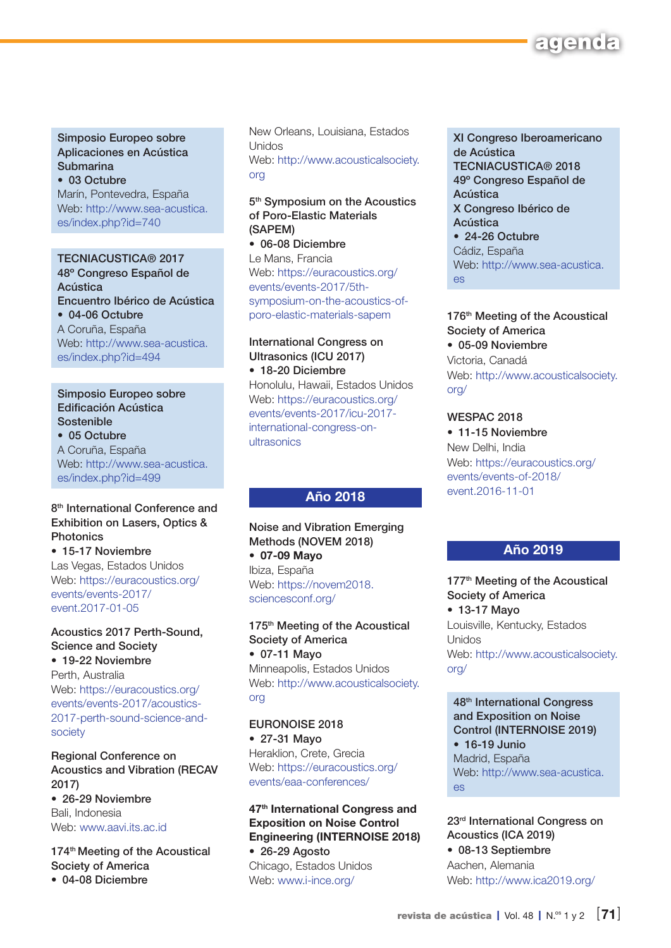

Simposio Europeo sobre Aplicaciones en Acústica **Submarina** • 03 Octubre

Marín, Pontevedra, España Web: [http://www.sea-acustica.](http://www.sea-acustica.es/index.php?id=740) [es/index.php?id=740](http://www.sea-acustica.es/index.php?id=740)

#### TECNIACUSTICA® 2017

48º Congreso Español de Acústica Encuentro Ibérico de Acústica • 04-06 Octubre A Coruña, España Web: [http://www.sea-acustica.](http://www.sea-acustica.es/index.php?id=494) [es/index.php?id=494](http://www.sea-acustica.es/index.php?id=494)

Simposio Europeo sobre Edificación Acústica Sostenible

• 05 Octubre A Coruña, España Web: [http://www.sea-acustica.](http://www.sea-acustica.es/index.php?id=499) [es/index.php?id=499](http://www.sea-acustica.es/index.php?id=499)

#### 8<sup>th</sup> International Conference and Exhibition on Lasers, Optics & **Photonics**

• 15-17 Noviembre Las Vegas, Estados Unidos Web: [https://euracoustics.org/](https://euracoustics.org/events/events-2017/event.2017-01-05) [events/events-2017/](https://euracoustics.org/events/events-2017/event.2017-01-05) [event.2017-01-05](https://euracoustics.org/events/events-2017/event.2017-01-05)

#### Acoustics 2017 Perth-Sound, Science and Society • 19-22 Noviembre

Perth, Australia Web: [https://euracoustics.org/](https://euracoustics.org/events/events-2017/acoustics-2017-perth-sound-science-and-society) [events/events-2017/acoustics-](https://euracoustics.org/events/events-2017/acoustics-2017-perth-sound-science-and-society)[2017-perth-sound-science-and](https://euracoustics.org/events/events-2017/acoustics-2017-perth-sound-science-and-society)[society](https://euracoustics.org/events/events-2017/acoustics-2017-perth-sound-science-and-society)

Regional Conference on Acoustics and Vibration (RECAV 2017) • 26-29 Noviembre Bali, Indonesia Web: [www.aavi.its.ac.id](http://www.aavi.its.ac.id)

174<sup>th</sup> Meeting of the Acoustical Society of America • 04-08 Diciembre

New Orleans, Louisiana, Estados Unidos Web: [http://www.acousticalsociety.](http://www.acousticalsociety.org) [org](http://www.acousticalsociety.org)

#### 5<sup>th</sup> Symposium on the Acoustics of Poro-Elastic Materials (SAPEM)

• 06-08 Diciembre Le Mans, Francia Web: [https://euracoustics.org/](https://euracoustics.org/events/events-2017/5th-symposium-on-the-acoustics-of-poro-elastic-materials-sapem) [events/events-2017/5th](https://euracoustics.org/events/events-2017/5th-symposium-on-the-acoustics-of-poro-elastic-materials-sapem)[symposium-on-the-acoustics-of](https://euracoustics.org/events/events-2017/5th-symposium-on-the-acoustics-of-poro-elastic-materials-sapem)[poro-elastic-materials-sapem](https://euracoustics.org/events/events-2017/5th-symposium-on-the-acoustics-of-poro-elastic-materials-sapem)

#### International Congress on Ultrasonics (ICU 2017) • 18-20 Diciembre

Honolulu, Hawaii, Estados Unidos Web: [https://euracoustics.org/](https://euracoustics.org/events/events-2017/icu-2017-international-congress-on-ultrasonics) [events/events-2017/icu-2017](https://euracoustics.org/events/events-2017/icu-2017-international-congress-on-ultrasonics) [international-congress-on](https://euracoustics.org/events/events-2017/icu-2017-international-congress-on-ultrasonics)[ultrasonics](https://euracoustics.org/events/events-2017/icu-2017-international-congress-on-ultrasonics)

#### Año 2018

Noise and Vibration Emerging Methods (NOVEM 2018) • 07-09 Mayo Ibiza, España Web: [https://novem2018.](https://novem2018.sciencesconf.org/) [sciencesconf.org/](https://novem2018.sciencesconf.org/)

175<sup>th</sup> Meeting of the Acoustical Society of America • 07-11 Mayo Minneapolis, Estados Unidos Web: [http://www.acousticalsociety.](http://www.acousticalsociety.org) [org](http://www.acousticalsociety.org)

EURONOISE 2018 • 27-31 Mayo Heraklion, Crete, Grecia Web: [https://euracoustics.org/](https://euracoustics.org/events/eaa-conferences/) [events/eaa-conferences/](https://euracoustics.org/events/eaa-conferences/)

47<sup>th</sup> International Congress and Exposition on Noise Control Engineering (INTERNOISE 2018) • 26-29 Agosto

Chicago, Estados Unidos Web: [www.i-ince.org/](http://www.i-ince.org/)

XI Congreso Iberoamericano de Acústica TECNIACUSTICA® 2018 49º Congreso Español de Acústica X Congreso Ibérico de Acústica • 24-26 Octubre Cádiz, España Web: [http://www.sea-acustica.](http://www.sea-acustica.es) [es](http://www.sea-acustica.es)

#### 176<sup>th</sup> Meeting of the Acoustical Society of America

• 05-09 Noviembre Victoria, Canadá Web: [http://www.acousticalsociety.](http://www.acousticalsociety.org/) [org/](http://www.acousticalsociety.org/)

#### WESPAC 2018

• 11-15 Noviembre New Delhi, India Web: [https://euracoustics.org/](https://euracoustics.org/events/events-of-2018/event.2016-11-01) [events/events-of-2018/](https://euracoustics.org/events/events-of-2018/event.2016-11-01) [event.2016-11-01](https://euracoustics.org/events/events-of-2018/event.2016-11-01)

#### Año 2019

177<sup>th</sup> Meeting of the Acoustical Society of America • 13-17 Mayo Louisville, Kentucky, Estados Unidos Web: [http://www.acousticalsociety.](http://www.acousticalsociety.org/) [org/](http://www.acousticalsociety.org/)

48th International Congress and Exposition on Noise Control (INTERNOISE 2019) • 16-19 Junio Madrid, España Web: [http://www.sea-acustica.](http://www.sea-acustica.es) [es](http://www.sea-acustica.es)

23rd International Congress on Acoustics (ICA 2019) • 08-13 Septiembre Aachen, Alemania

Web:<http://www.ica2019.org/>